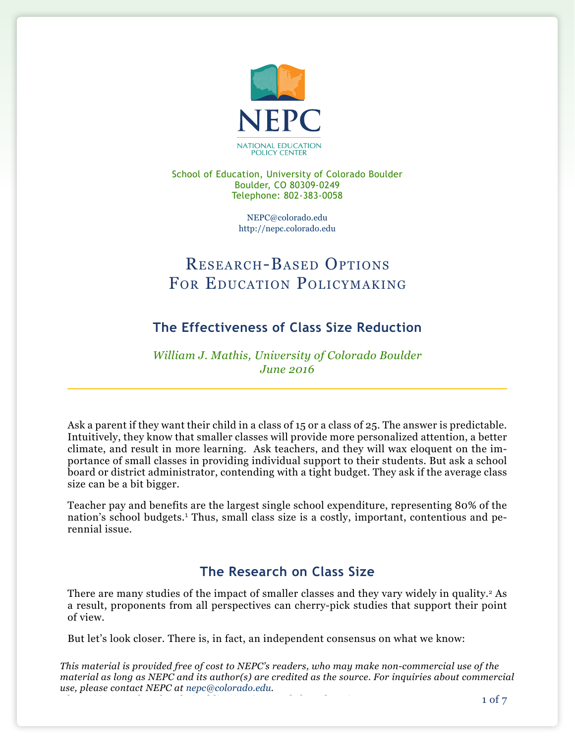

School of Education, University of Colorado Boulder Boulder, CO 80309-0249 Telephone: 802-383-0058

> [NEPC@colorado.edu](mailto:NEPC@colorado.edu) <http://nepc.colorado.edu>

# Research-Based Options FOR EDUCATION POLICYMAKING

# **The Effectiveness of Class Size Reduction**

*William J. Mathis, University of Colorado Boulder June 2016*

Ask a parent if they want their child in a class of 15 or a class of 25. The answer is predictable. Intuitively, they know that smaller classes will provide more personalized attention, a better climate, and result in more learning. Ask teachers, and they will wax eloquent on the importance of small classes in providing individual support to their students. But ask a school board or district administrator, contending with a tight budget. They ask if the average class size can be a bit bigger.

Teacher pay and benefits are the largest single school expenditure, representing 80% of the nation's school budgets.<sup>1</sup> Thus, small class size is a costly, important, contentious and perennial issue.

# **The Research on Class Size**

There are many studies of the impact of smaller classes and they vary widely in quality.<sup>2</sup> As a result, proponents from all perspectives can cherry-pick studies that support their point of view.

But let's look closer. There is, in fact, an independent consensus on what we know:

*This material is provided free of cost to NEPC's readers, who may make non-commercial use of the material as long as NEPC and its author(s) are credited as the source. For inquiries about commercial use, please contact NEPC at [nepc@colorado.edu.](mailto:nepc@colorado.edu)*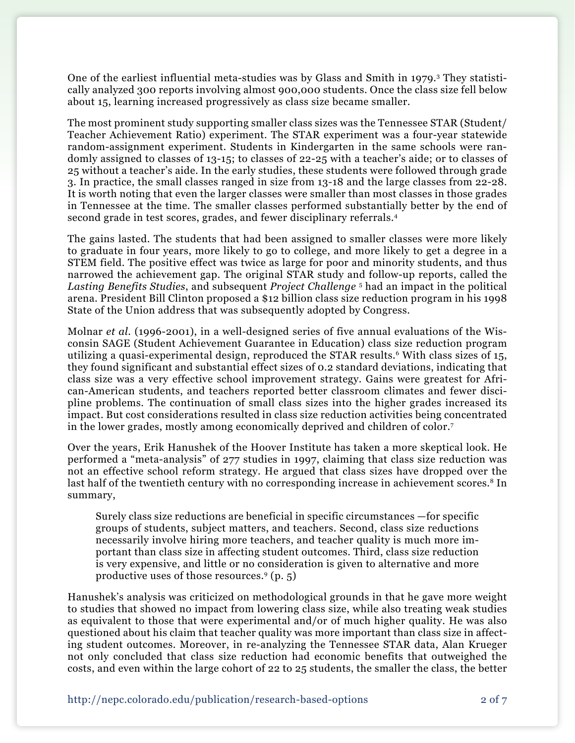One of the earliest influential meta-studies was by Glass and Smith in 1979.3 They statistically analyzed 300 reports involving almost 900,000 students. Once the class size fell below about 15, learning increased progressively as class size became smaller.

The most prominent study supporting smaller class sizes was the Tennessee STAR (Student/ Teacher Achievement Ratio) experiment. The STAR experiment was a four-year statewide random-assignment experiment. Students in Kindergarten in the same schools were randomly assigned to classes of 13-15; to classes of 22-25 with a teacher's aide; or to classes of 25 without a teacher's aide. In the early studies, these students were followed through grade 3. In practice, the small classes ranged in size from 13-18 and the large classes from 22-28. It is worth noting that even the larger classes were smaller than most classes in those grades in Tennessee at the time. The smaller classes performed substantially better by the end of second grade in test scores, grades, and fewer disciplinary referrals.4

The gains lasted. The students that had been assigned to smaller classes were more likely to graduate in four years, more likely to go to college, and more likely to get a degree in a STEM field. The positive effect was twice as large for poor and minority students, and thus narrowed the achievement gap. The original STAR study and follow-up reports, called the *Lasting Benefits Studies*, and subsequent *Project Challenge* <sup>5</sup> had an impact in the political arena. President Bill Clinton proposed a \$12 billion class size reduction program in his 1998 State of the Union address that was subsequently adopted by Congress.

Molnar *et al*. (1996-2001), in a well-designed series of five annual evaluations of the Wisconsin SAGE (Student Achievement Guarantee in Education) class size reduction program utilizing a quasi-experimental design, reproduced the STAR results.<sup>6</sup> With class sizes of 15, they found significant and substantial effect sizes of 0.2 standard deviations, indicating that class size was a very effective school improvement strategy. Gains were greatest for African-American students, and teachers reported better classroom climates and fewer discipline problems. The continuation of small class sizes into the higher grades increased its impact. But cost considerations resulted in class size reduction activities being concentrated in the lower grades, mostly among economically deprived and children of color.7

Over the years, Erik Hanushek of the Hoover Institute has taken a more skeptical look. He performed a "meta-analysis" of 277 studies in 1997, claiming that class size reduction was not an effective school reform strategy. He argued that class sizes have dropped over the last half of the twentieth century with no corresponding increase in achievement scores.<sup>8</sup> In summary,

Surely class size reductions are beneficial in specific circumstances —for specific groups of students, subject matters, and teachers. Second, class size reductions necessarily involve hiring more teachers, and teacher quality is much more important than class size in affecting student outcomes. Third, class size reduction is very expensive, and little or no consideration is given to alternative and more productive uses of those resources.9 (p. 5)

Hanushek's analysis was criticized on methodological grounds in that he gave more weight to studies that showed no impact from lowering class size, while also treating weak studies as equivalent to those that were experimental and/or of much higher quality. He was also questioned about his claim that teacher quality was more important than class size in affecting student outcomes. Moreover, in re-analyzing the Tennessee STAR data, Alan Krueger not only concluded that class size reduction had economic benefits that outweighed the costs, and even within the large cohort of 22 to 25 students, the smaller the class, the better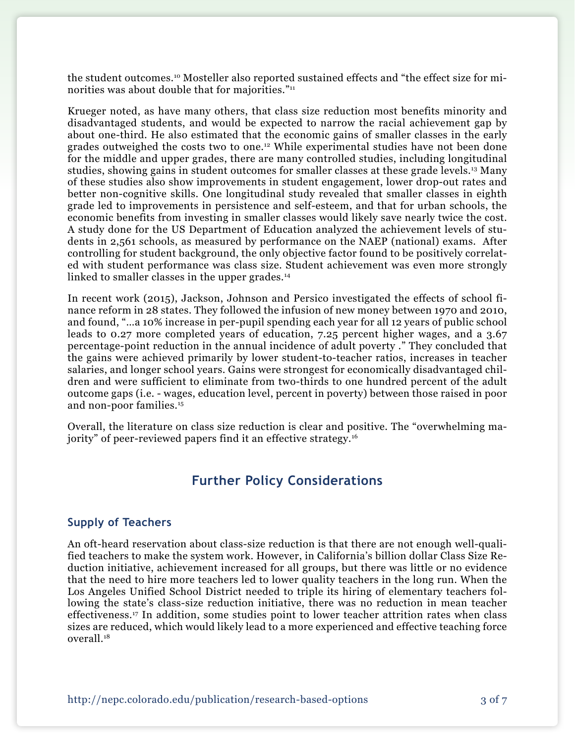the student outcomes.10 Mosteller also reported sustained effects and "the effect size for minorities was about double that for majorities."<sup>11</sup>

Krueger noted, as have many others, that class size reduction most benefits minority and disadvantaged students, and would be expected to narrow the racial achievement gap by about one-third. He also estimated that the economic gains of smaller classes in the early grades outweighed the costs two to one.<sup>12</sup> While experimental studies have not been done for the middle and upper grades, there are many controlled studies, including longitudinal studies, showing gains in student outcomes for smaller classes at these grade levels.13 Many of these studies also show improvements in student engagement, lower drop-out rates and better non-cognitive skills. One longitudinal study revealed that smaller classes in eighth grade led to improvements in persistence and self-esteem, and that for urban schools, the economic benefits from investing in smaller classes would likely save nearly twice the cost. A study done for the US Department of Education analyzed the achievement levels of students in 2,561 schools, as measured by performance on the NAEP (national) exams. After controlling for student background, the only objective factor found to be positively correlated with student performance was class size. Student achievement was even more strongly linked to smaller classes in the upper grades.<sup>14</sup>

In recent work (2015), Jackson, Johnson and Persico investigated the effects of school finance reform in 28 states. They followed the infusion of new money between 1970 and 2010, and found, "…a 10% increase in per-pupil spending each year for all 12 years of public school leads to 0.27 more completed years of education, 7.25 percent higher wages, and a 3.67 percentage-point reduction in the annual incidence of adult poverty ." They concluded that the gains were achieved primarily by lower student-to-teacher ratios, increases in teacher salaries, and longer school years. Gains were strongest for economically disadvantaged children and were sufficient to eliminate from two-thirds to one hundred percent of the adult outcome gaps (i.e. - wages, education level, percent in poverty) between those raised in poor and non-poor families.15

Overall, the literature on class size reduction is clear and positive. The "overwhelming majority" of peer-reviewed papers find it an effective strategy.<sup>16</sup>

## **Further Policy Considerations**

#### **Supply of Teachers**

An oft-heard reservation about class-size reduction is that there are not enough well-qualified teachers to make the system work. However, in California's billion dollar Class Size Reduction initiative, achievement increased for all groups, but there was little or no evidence that the need to hire more teachers led to lower quality teachers in the long run. When the Los Angeles Unified School District needed to triple its hiring of elementary teachers following the state's class-size reduction initiative, there was no reduction in mean teacher effectiveness.17 In addition, some studies point to lower teacher attrition rates when class sizes are reduced, which would likely lead to a more experienced and effective teaching force overall.18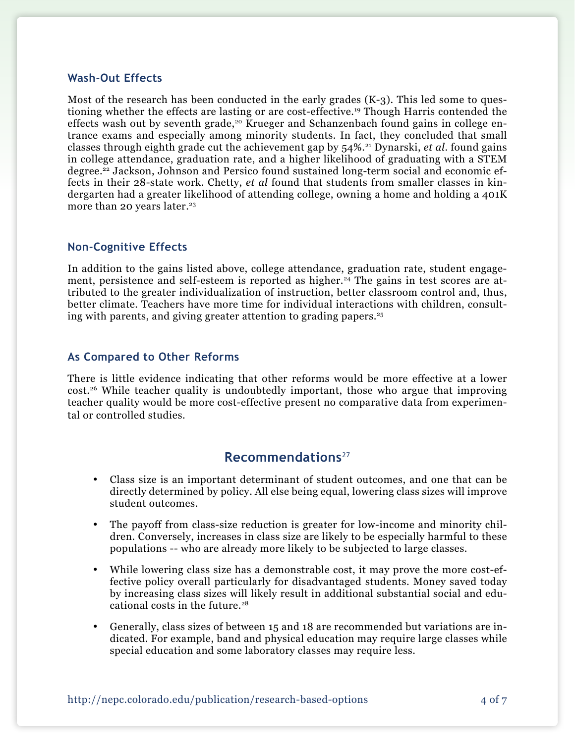#### **Wash-Out Effects**

Most of the research has been conducted in the early grades  $(K-3)$ . This led some to questioning whether the effects are lasting or are cost-effective.19 Though Harris contended the effects wash out by seventh grade,<sup>20</sup> Krueger and Schanzenbach found gains in college entrance exams and especially among minority students. In fact, they concluded that small classes through eighth grade cut the achievement gap by 54%.21 Dynarski, *et al*. found gains in college attendance, graduation rate, and a higher likelihood of graduating with a STEM degree.22 Jackson, Johnson and Persico found sustained long-term social and economic effects in their 28-state work. Chetty, *et al* found that students from smaller classes in kindergarten had a greater likelihood of attending college, owning a home and holding a 401K more than 20 years later.<sup>23</sup>

#### **Non-Cognitive Effects**

In addition to the gains listed above, college attendance, graduation rate, student engagement, persistence and self-esteem is reported as higher.<sup>24</sup> The gains in test scores are attributed to the greater individualization of instruction, better classroom control and, thus, better climate. Teachers have more time for individual interactions with children, consulting with parents, and giving greater attention to grading papers.25

#### **As Compared to Other Reforms**

There is little evidence indicating that other reforms would be more effective at a lower  $cost.^{26}$  While teacher quality is undoubtedly important, those who argue that improving teacher quality would be more cost-effective present no comparative data from experimental or controlled studies.

### **Recommendations**<sup>27</sup>

- • Class size is an important determinant of student outcomes, and one that can be directly determined by policy. All else being equal, lowering class sizes will improve student outcomes.
- The payoff from class-size reduction is greater for low-income and minority children. Conversely, increases in class size are likely to be especially harmful to these populations -- who are already more likely to be subjected to large classes.
- While lowering class size has a demonstrable cost, it may prove the more cost-effective policy overall particularly for disadvantaged students. Money saved today by increasing class sizes will likely result in additional substantial social and educational costs in the future.<sup>28</sup>
- Generally, class sizes of between 15 and 18 are recommended but variations are indicated. For example, band and physical education may require large classes while special education and some laboratory classes may require less.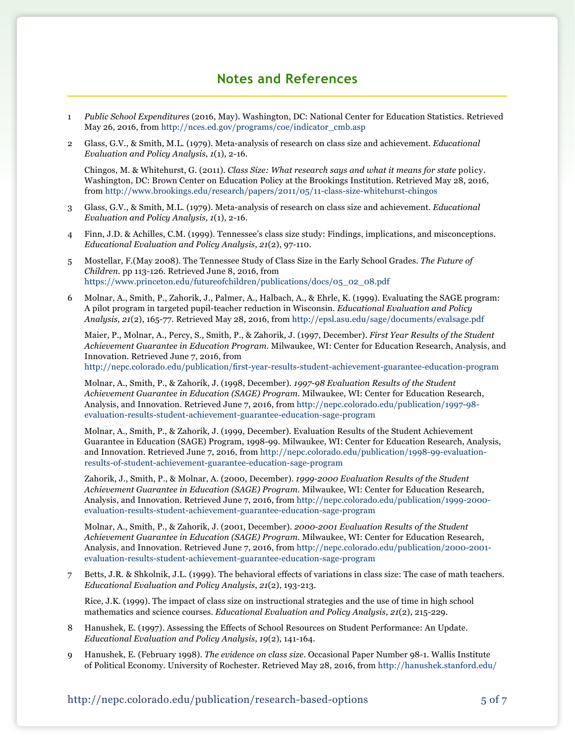### **Notes and References**

- 1 *Public School Expenditures* (2016, May). Washington, DC: National Center for Education Statistics. Retrieved May 26, 2016, from [http://nces.ed.gov/programs/coe/indicator\\_cmb.asp](http://nces.ed.gov/programs/coe/indicator_cmb.asp)
- 2 Glass, G.V., & Smith, M.L. (1979). Meta-analysis of research on class size and achievement. *Educational Evaluation and Policy Analysis, 1*(1), 2-16.

Chingos, M. & Whitehurst, G. (2011). *Class Size: What research says and what it means for state* [policy.](http://policy.Washington) [Washington](http://policy.Washington), DC: Brown Center on Education Policy at the Brookings Institution. Retrieved May 28, 2016, from [http://www.brookings.edu/research/papers/2011/05/11](http://www.brookings.edu/research/papers/2011/05/11-class-size-whitehurst-chingos)-class-size-whitehurst-chingos

- 3 Glass, G.V., & Smith, M.L. (1979). Meta-analysis of research on class size and achievement. *Educational Evaluation and Policy Analysis, 1*(1), 2-16.
- 4 Finn, J.D. & Achilles, C.M. (1999). Tennessee's class size study: Findings, implications, and [misconceptions.](http://misconceptions.Educational) *[Educational](http://misconceptions.Educational) Evaluation and Policy Analysis*, *21*(2), 97-110.
- 5 Mostellar, F.(May 2008). The Tennessee Study of Class Size in the Early School Grades. *The Future of Children*. pp 113-126. Retrieved June 8, 2016, from [https://www.princeton.edu/futureofchildren/publications/docs/05\\_02\\_08.pdf](https://www.princeton.edu/futureofchildren/publications/docs/05_02_08.pdf)
- 6 Molnar, A., Smith, P., Zahorik, J., Palmer, A., Halbach, A., & Ehrle, K. (1999). Evaluating the SAGE program: A pilot program in targeted pupil-teacher reduction in Wisconsin. *Educational Evaluation and Policy Analysis, 21*(2), 165-77. Retrieved May 28, 2016, from<http://epsl.asu.edu/sage/documents/evalsage.pdf>

Maier, P., Molnar, A., Percy, S., Smith, P., & Zahorik, J. (1997, December). *First Year Results of the Student Achievement Guarantee in Education Program*. Milwaukee, WI: Center for Education Research, Analysis, and Innovation. Retrieved June 7, 2016, from <http://nepc.colorado.edu/publication/first-year-results-student-achievement-guarantee-education-program>

 Molnar, A., Smith, P., & Zahorik, J. (1998, December). *1997-98 Evaluation Results of the Student Achievement Guarantee in Education (SAGE) Program*. Milwaukee, WI: Center for Education Research, Analysis, and Innovation. Retrieved June 7, 2016, from [http://nepc.colorado.edu/publication/1997-98](http://nepc.colorado.edu/publication/1997-98-evaluation-results-student-achievement-guarantee-education-sage-program) [evaluation-results-student-achievement-guarantee-education-sage-program](http://nepc.colorado.edu/publication/1997-98-evaluation-results-student-achievement-guarantee-education-sage-program)

Molnar, A., Smith, P., & Zahorik, J. (1999, December). Evaluation Results of the Student Achievement Guarantee in Education (SAGE) Program, 1998-99. Milwaukee, WI: Center for Education Research, Analysis, and Innovation. Retrieved June 7, 2016, from [http://nepc.colorado.edu/publication/1998-99-evaluation](http://nepc.colorado.edu/publication/1998-99-evaluation-results-of-student-achievement-guarantee-education-sage-program)[results-of-student-achievement-guarantee-education-sage-program](http://nepc.colorado.edu/publication/1998-99-evaluation-results-of-student-achievement-guarantee-education-sage-program)

 Zahorik, J., Smith, P., & Molnar, A. (2000, December). *1999-2000 Evaluation Results of the Student Achievement Guarantee in Education (SAGE) Program*. Milwaukee, WI: Center for Education Research, Analysis, and Innovation. Retrieved June 7, 2016, from [http://nepc.colorado.edu/publication/1999-2000](http://nepc.colorado.edu/publication/1999-2000-evaluation-results-student-achievement-guarantee-education-sage-program) [evaluation-results-student-achievement-guarantee-education-sage-program](http://nepc.colorado.edu/publication/1999-2000-evaluation-results-student-achievement-guarantee-education-sage-program)

 Molnar, A., Smith, P., & Zahorik, J. (2001, December). *2000-2001 Evaluation Results of the Student Achievement Guarantee in Education (SAGE) Program*. Milwaukee, WI: Center for Education Research, Analysis, and Innovation. Retrieved June 7, 2016, from [http://nepc.colorado.edu/publication/2000-2001](http://nepc.colorado.edu/publication/2000-2001-evaluation-results-student-achievement-guarantee-education-sage-program) [evaluation-results-student-achievement-guarantee-education-sage-program](http://nepc.colorado.edu/publication/2000-2001-evaluation-results-student-achievement-guarantee-education-sage-program)

7 Betts, J.R. & Shkolnik, J.L. (1999). The behavioral effects of variations in class size: The case of math teachers. *Educational Evaluation and Policy Analysis*, *21*(2), 193-213.

Rice, J.K. (1999). The impact of class size on instructional strategies and the use of time in high school mathematics and science courses. *Educational Evaluation and Policy Analysis*, *21*(2), 215-229.

- 8 Hanushek, E. (1997). Assessing the Effects of School Resources on Student Performance: An Update. *Educational Evaluation and Policy Analysis*, *19*(2), 141-164.
- 9 Hanushek, E. (February 1998). *The evidence on class size*. Occasional Paper Number 98-1. Wallis Institute of Political Economy. University of Rochester. Retrieved May 28, 2016, from [http://hanushek.stanford.edu/](http://hanushek.stanford.edu/sites/default/files/publications/Hanushek%201998%20HouseTestimony%20Class%20Size.pdf)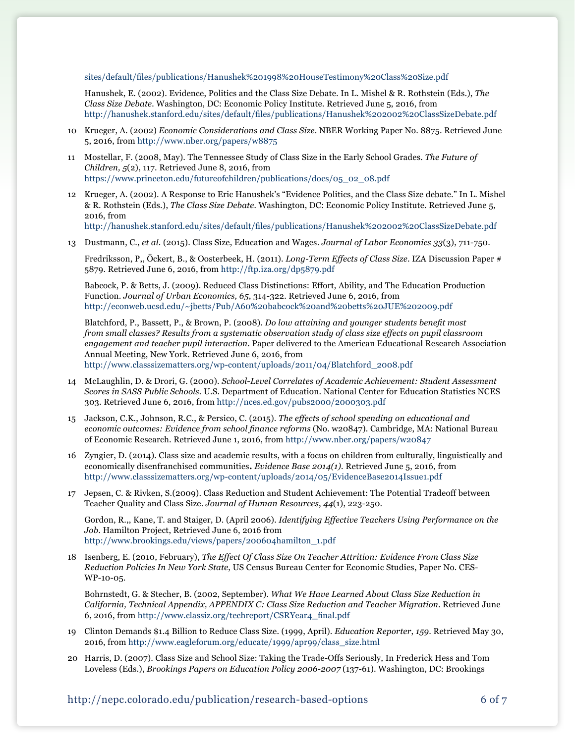[sites/default/files/publications/Hanushek%201998%20HouseTestimony%20Class%20Size.pdf](http://hanushek.stanford.edu/sites/default/files/publications/Hanushek%201998%20HouseTestimony%20Class%20Size.pdf)

Hanushek, E. (2002). Evidence, Politics and the Class Size Debate. In L. Mishel & R. Rothstein (Eds.), *The Class Size Debate.* Washington, DC: Economic Policy Institute. Retrieved June 5, 2016, from <http://hanushek.stanford.edu/sites/default/files/publications/Hanushek%202002%20ClassSizeDebate.pdf>

- 10 Krueger, A. (2002) *Economic Considerations and Class Size*. NBER Working Paper No. 8875. Retrieved June 5, 2016, from<http://www.nber.org/papers/w8875>
- 11 Mostellar, F. (2008, May). The Tennessee Study of Class Size in the Early School Grades. *The Future of Children, 5*(2), 117. Retrieved June 8, 2016, from [https://www.princeton.edu/futureofchildren/publications/docs/05\\_02\\_08.pdf](https://www.princeton.edu/futureofchildren/publications/docs/05_02_08.pdf)
- 12 Krueger, A. (2002). A Response to Eric Hanushek's "Evidence Politics, and the Class Size debate." In L. Mishel & R. Rothstein (Eds.), *The Class Size Debate.* Washington, DC: Economic Policy Institute. Retrieved June 5, 2016, from <http://hanushek.stanford.edu/sites/default/files/publications/Hanushek%202002%20ClassSizeDebate.pdf>
- 13 Dustmann, C., *et al*. (2015). Class Size, Education and Wages. *Journal of Labor Economics 33*(3), [711-750.](http://711-750.Fredriksson)

[Fredriksson,](http://711-750.Fredriksson) P,, Öckert, B., & Oosterbeek, H. (2011). *Long-Term Effects of Class Size*. IZA Discussion Paper # 5879. Retrieved June 6, 2016, from<http://ftp.iza.org/dp5879.pdf>

Babcock, P. & Betts, J. (2009). Reduced Class Distinctions: Effort, Ability, and The Education Production Function. *Journal of Urban Economics, 65*, 314-322. Retrieved June 6, 2016, from [http://econweb.ucsd.edu/~jbetts/Pub/A60%20babcock%20and%20betts%20JUE%202009.pdf](http://econweb.ucsd.edu/~jbetts/Pub/A60%20babcock%20and%20betts%20JUE%202009.pdf )

Blatchford, P., Bassett, P., & Brown, P. (2008). *Do low attaining and younger students benefit most from small classes? Results from a systematic observation study of class size effects on pupil classroom engagement and teacher pupil interaction*. Paper delivered to the American Educational Research Association Annual Meeting, New York. Retrieved June 6, 2016, from [http://www.classsizematters.org/wp-content/uploads/2011/04/Blatchford\\_2008.pdf](http://www.classsizematters.org/wp-content/uploads/2011/04/Blatchford_2008.pdf)

- 14 McLaughlin, D. & Drori, G. (2000). *School-Level Correlates of Academic Achievement: Student Assessment Scores in SASS Public Schools.* U.S. Department of Education. National Center for Education Statistics NCES 303. Retrieved June 6, 2016, from <http://nces.ed.gov/pubs2000/2000303.pdf>
- 15 Jackson, C.K., Johnson, R.C., & Persico, C. (2015). *The effects of school spending on educational and economic outcomes: Evidence from school finance reforms* (No. w20847). Cambridge, MA: National Bureau of Economic Research. Retrieved June 1, 2016, from<http://www.nber.org/papers/w20847>
- 16 Zyngier, D. (2014). Class size and academic results, with a focus on children from culturally, linguistically and economically disenfranchised communities**.** *Evidence Base 2014(1).* Retrieved June 5, 2016, from <http://www.classsizematters.org/wp-content/uploads/2014/05/EvidenceBase2014Issue1.pdf>
- 17 Jepsen, C. & Rivken, S.(2009). Class Reduction and Student Achievement: The Potential Tradeoff between Teacher Quality and Class Size. *Journal of Human Resources*, *44*(1), 223-250.

Gordon, R.,, Kane, T. and Staiger, D. (April 2006). *Identifying Effective Teachers Using Performance on the Job*. Hamilton Project, Retrieved June 6, 2016 from [http://www.brookings.edu/views/papers/200604hamilton\\_1.pdf](http://www.brookings.edu/views/papers/200604hamilton_1.pdf)

18 Isenberg, E. (2010, February), *The Effect Of Class Size On Teacher Attrition: Evidence From Class Size Reduction Policies In New York State*, [US Census Bureau Center for Economic Studies, Paper No. CES-](http://papers.ssrn.com/sol3/papers.cfm?abstract_id=1557228)[WP-10-05](http://papers.ssrn.com/sol3/papers.cfm?abstract_id=1557228).

Bohrnstedt, G. & Stecher, B. (2002, September). *What We Have Learned About Class Size Reduction in California, Technical Appendix, APPENDIX C: Class Size Reduction and Teacher Migration*. Retrieved June 6, 2016, from [http://www.classiz.org/techreport/CSRYear4\\_final.pdf](http://www.classize.org/techreport/CSRYear4_final.pdf)

- 19 Clinton Demands \$1.4 Billion to Reduce Class Size. (1999, April). *Education Reporter*, *159*. Retrieved May 30, 2016, from [http://www.eagleforum.org/educate/1999/apr99/class\\_size.html](http://www.eagleforum.org/educate/1999/apr99/class_size.html)
- 20 Harris, D. (2007). Class Size and School Size: Taking the Trade-Offs Seriously, In Frederick Hess and Tom Loveless (Eds.), *Brookings Papers on Education Policy 2006-2007* (137-61). Washington, DC: Brookings